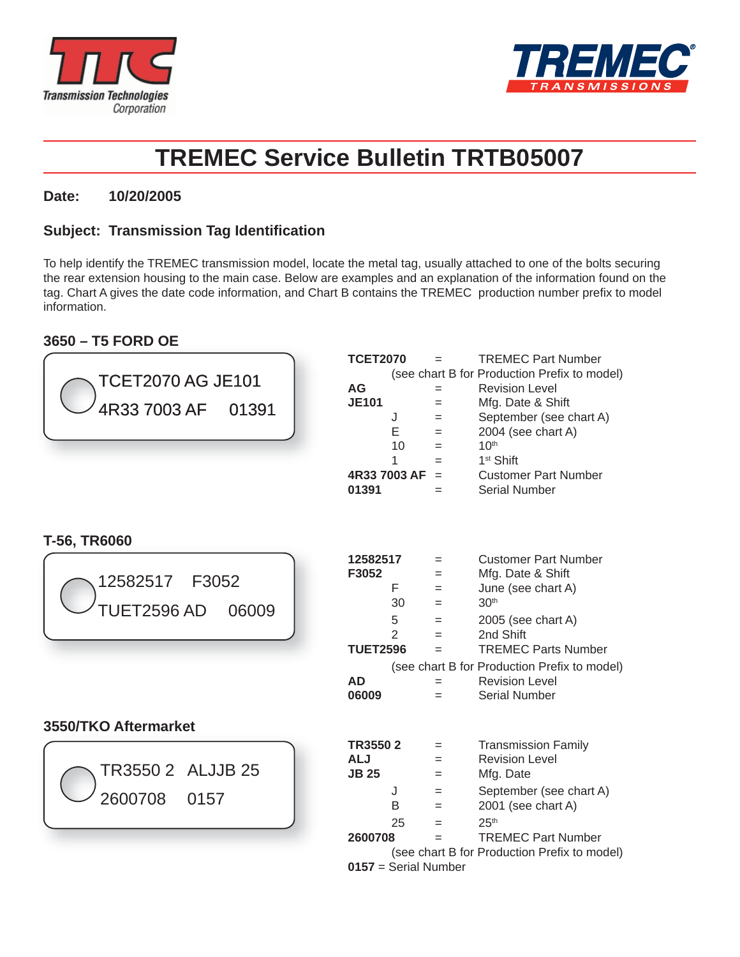



# **TREMEC Service Bulletin TRTB05007**

### **Date: 10/20/2005**

## **Subject: Transmission Tag Identifi cation**

To help identify the TREMEC transmission model, locate the metal tag, usually attached to one of the bolts securing the rear extension housing to the main case. Below are examples and an explanation of the information found on the tag. Chart A gives the date code information, and Chart B contains the TREMEC production number prefix to model information.

## **3650 – T5 FORD OE**

| F<br>30<br>5<br>$\overline{2}$ | $=$<br>$=$<br>$=$<br>$=$<br>$=$<br>$=$<br>$=$<br>$=$<br>$=$ | <b>Customer Part Number</b><br>Mfg. Date & Shift<br>June (see chart A)<br>30 <sup>th</sup><br>2005 (see chart A)<br>2nd Shift<br><b>TREMEC Parts Number</b><br>(see chart B for Production Prefix to model)<br><b>Revision Level</b><br><b>Serial Number</b> |
|--------------------------------|-------------------------------------------------------------|--------------------------------------------------------------------------------------------------------------------------------------------------------------------------------------------------------------------------------------------------------------|
|                                |                                                             |                                                                                                                                                                                                                                                              |
| J<br>В<br>25                   | $=$<br>$=$<br>$=$<br>$=$<br>$=$<br>$=$                      | <b>Transmission Family</b><br><b>Revision Level</b><br>Mfg. Date<br>September (see chart A)<br>2001 (see chart A)<br>25 <sup>th</sup><br><b>TREMEC Part Number</b>                                                                                           |
|                                | 12582517<br><b>TUET2596</b><br>TR35502<br>2600708           | (see chart B for Production Prefix to model)                                                                                                                                                                                                                 |

 **0157** = Serial Number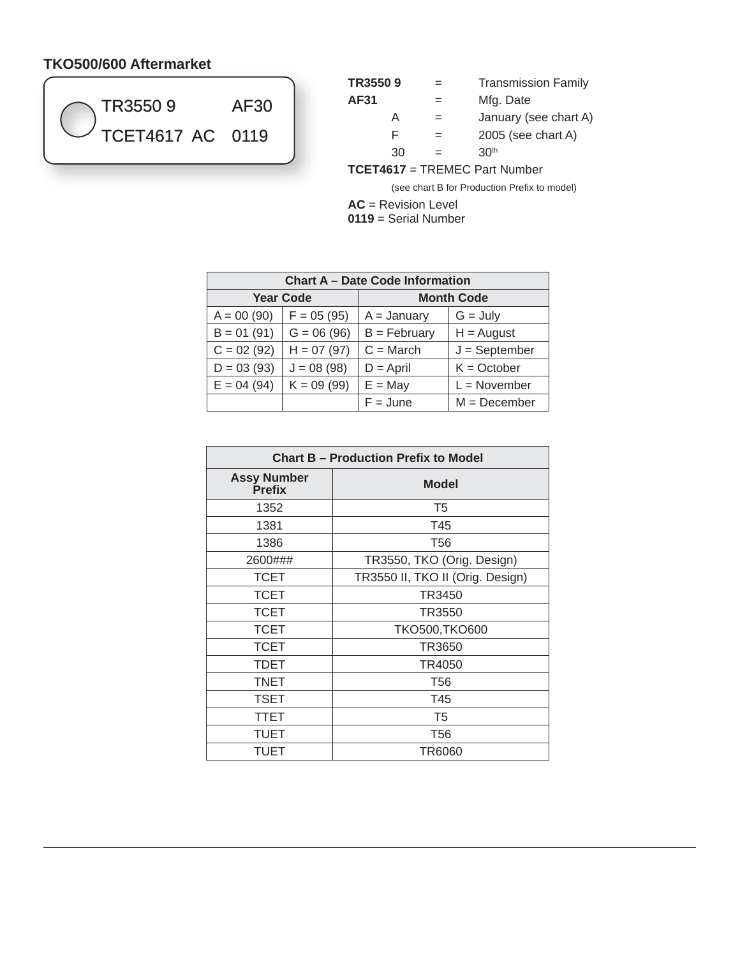# **TKO500/600 Aftermarket**



| TR35509                        | $=$ | <b>Transmission Family</b> |  |  |
|--------------------------------|-----|----------------------------|--|--|
| AF31                           | $=$ | Mfg. Date                  |  |  |
| А                              | $=$ | January (see chart A)      |  |  |
| F                              | $=$ | $2005$ (see chart A)       |  |  |
| 30                             | $=$ | 30 <sup>th</sup>           |  |  |
| TDEMEC Dort Mumber<br>TOETAC47 |     |                            |  |  |

**TCET4617** = TREMEC Part Number

(see chart B for Production Prefix to model)

**AC** = Revision Level

**0119** = Serial Number

| <b>Chart A - Date Code Information</b> |              |                   |                 |  |  |
|----------------------------------------|--------------|-------------------|-----------------|--|--|
| <b>Year Code</b>                       |              | <b>Month Code</b> |                 |  |  |
| $A = 00(90)$                           | $F = 05(95)$ | $A = January$     | $G = July$      |  |  |
| $B = 01(91)$                           | $G = 06(96)$ | $B = February$    | $H =$ August    |  |  |
| $C = 02(92)$                           | $H = 07(97)$ | $C = March$       | $J = September$ |  |  |
| $D = 03(93)$                           | $J = 08(98)$ | $D =$ April       | $K = October$   |  |  |
| $E = 04(94)$                           | $K = 09(99)$ | $E = May$         | $L = November$  |  |  |
|                                        |              | $F = June$        | $M = December$  |  |  |

| <b>Chart B - Production Prefix to Model</b> |                                  |  |  |  |
|---------------------------------------------|----------------------------------|--|--|--|
| <b>Assy Number</b><br><b>Prefix</b>         | <b>Model</b>                     |  |  |  |
| 1352                                        | T <sub>5</sub>                   |  |  |  |
| 1381                                        | T45                              |  |  |  |
| 1386                                        | T56                              |  |  |  |
| 2600###                                     | TR3550, TKO (Orig. Design)       |  |  |  |
| <b>TCET</b>                                 | TR3550 II, TKO II (Orig. Design) |  |  |  |
| <b>TCET</b>                                 | TR3450                           |  |  |  |
| <b>TCET</b>                                 | TR3550                           |  |  |  |
| <b>TCET</b>                                 | TKO500, TKO600                   |  |  |  |
| <b>TCET</b>                                 | TR3650                           |  |  |  |
| TDET                                        | TR4050                           |  |  |  |
| <b>TNET</b>                                 | T <sub>56</sub>                  |  |  |  |
| <b>TSET</b>                                 | T45                              |  |  |  |
| <b>TTET</b>                                 | T <sub>5</sub>                   |  |  |  |
| TUET                                        | T <sub>56</sub>                  |  |  |  |
| TUET                                        | TR6060                           |  |  |  |